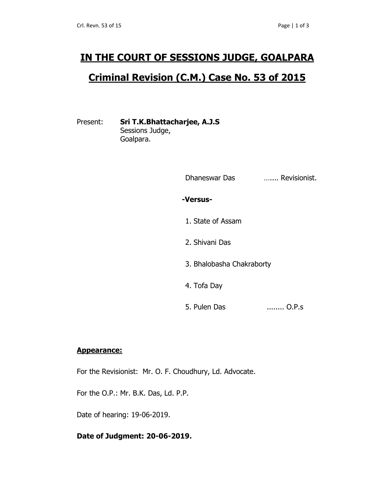# **IN THE COURT OF SESSIONS JUDGE, GOALPARA**

## **Criminal Revision (C.M.) Case No. 53 of 2015**

## Present: **Sri T.K.Bhattacharjee, A.J.S**

Sessions Judge, Goalpara.

| Dhaneswar Das             | Revisionist. |
|---------------------------|--------------|
| -Versus-                  |              |
| 1. State of Assam         |              |
| 2. Shivani Das            |              |
| 3. Bhalobasha Chakraborty |              |
| 4. Tofa Day               |              |
| 5. Pulen Das              | O.P.S        |

#### **Appearance:**

For the Revisionist: Mr. O. F. Choudhury, Ld. Advocate.

For the O.P.: Mr. B.K. Das, Ld. P.P.

Date of hearing: 19-06-2019.

### **Date of Judgment: 20-06-2019.**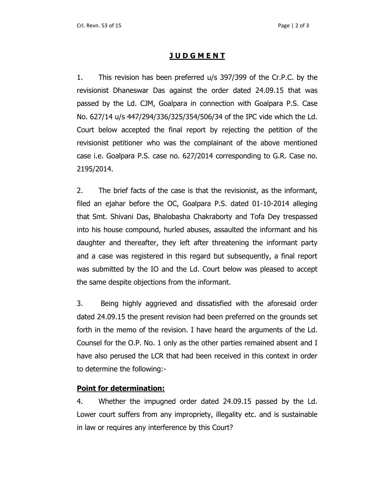#### **J U D G M E N T**

1. This revision has been preferred u/s 397/399 of the Cr.P.C. by the revisionist Dhaneswar Das against the order dated 24.09.15 that was passed by the Ld. CJM, Goalpara in connection with Goalpara P.S. Case No. 627/14 u/s 447/294/336/325/354/506/34 of the IPC vide which the Ld. Court below accepted the final report by rejecting the petition of the revisionist petitioner who was the complainant of the above mentioned case i.e. Goalpara P.S. case no. 627/2014 corresponding to G.R. Case no. 2195/2014.

2. The brief facts of the case is that the revisionist, as the informant, filed an ejahar before the OC, Goalpara P.S. dated 01-10-2014 alleging that Smt. Shivani Das, Bhalobasha Chakraborty and Tofa Dey trespassed into his house compound, hurled abuses, assaulted the informant and his daughter and thereafter, they left after threatening the informant party and a case was registered in this regard but subsequently, a final report was submitted by the IO and the Ld. Court below was pleased to accept the same despite objections from the informant.

3. Being highly aggrieved and dissatisfied with the aforesaid order dated 24.09.15 the present revision had been preferred on the grounds set forth in the memo of the revision. I have heard the arguments of the Ld. Counsel for the O.P. No. 1 only as the other parties remained absent and I have also perused the LCR that had been received in this context in order to determine the following:-

#### **Point for determination:**

4. Whether the impugned order dated 24.09.15 passed by the Ld. Lower court suffers from any impropriety, illegality etc. and is sustainable in law or requires any interference by this Court?